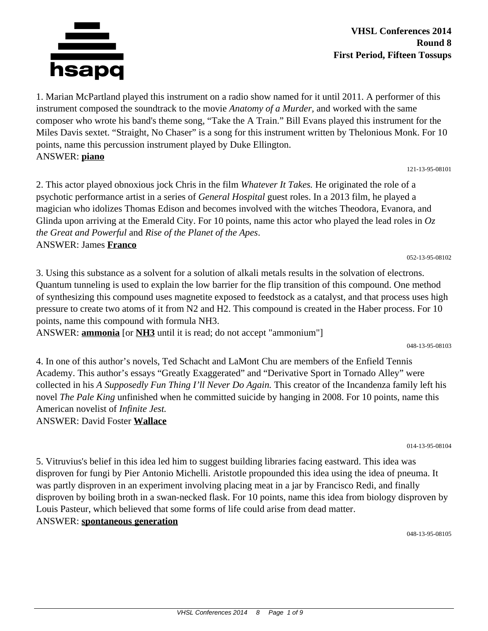

#### **VHSL Conferences 2014 Round 8 First Period, Fifteen Tossups**

1. Marian McPartland played this instrument on a radio show named for it until 2011. A performer of this instrument composed the soundtrack to the movie *Anatomy of a Murder,* and worked with the same composer who wrote his band's theme song, "Take the A Train." Bill Evans played this instrument for the Miles Davis sextet. "Straight, No Chaser" is a song for this instrument written by Thelonious Monk. For 10 points, name this percussion instrument played by Duke Ellington. ANSWER: **piano**

121-13-95-08101

2. This actor played obnoxious jock Chris in the film *Whatever It Takes.* He originated the role of a psychotic performance artist in a series of *General Hospital* guest roles. In a 2013 film, he played a magician who idolizes Thomas Edison and becomes involved with the witches Theodora, Evanora, and Glinda upon arriving at the Emerald City. For 10 points, name this actor who played the lead roles in *Oz the Great and Powerful* and *Rise of the Planet of the Apes*. ANSWER: James **Franco**

052-13-95-08102

048-13-95-08103

3. Using this substance as a solvent for a solution of alkali metals results in the solvation of electrons. Quantum tunneling is used to explain the low barrier for the flip transition of this compound. One method of synthesizing this compound uses magnetite exposed to feedstock as a catalyst, and that process uses high pressure to create two atoms of it from N2 and H2. This compound is created in the Haber process. For 10 points, name this compound with formula NH3.

ANSWER: **ammonia** [or **NH3** until it is read; do not accept "ammonium"]

4. In one of this author's novels, Ted Schacht and LaMont Chu are members of the Enfield Tennis Academy. This author's essays "Greatly Exaggerated" and "Derivative Sport in Tornado Alley" were collected in his *A Supposedly Fun Thing I'll Never Do Again.* This creator of the Incandenza family left his novel *The Pale King* unfinished when he committed suicide by hanging in 2008. For 10 points, name this American novelist of *Infinite Jest.*

ANSWER: David Foster **Wallace**

014-13-95-08104

5. Vitruvius's belief in this idea led him to suggest building libraries facing eastward. This idea was disproven for fungi by Pier Antonio Michelli. Aristotle propounded this idea using the idea of pneuma. It was partly disproven in an experiment involving placing meat in a jar by Francisco Redi, and finally disproven by boiling broth in a swan-necked flask. For 10 points, name this idea from biology disproven by Louis Pasteur, which believed that some forms of life could arise from dead matter. ANSWER: **spontaneous generation**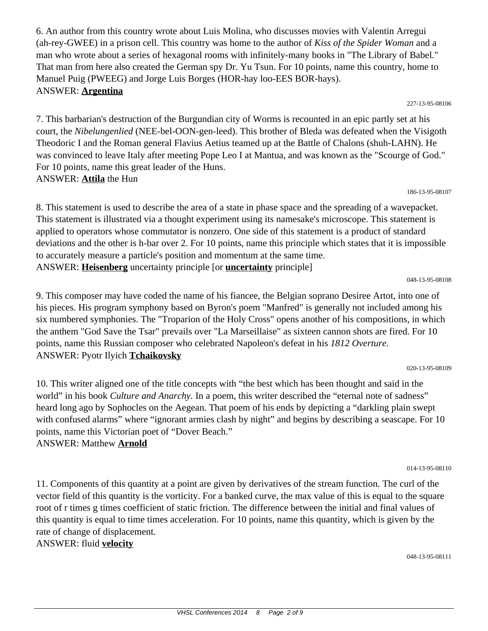6. An author from this country wrote about Luis Molina, who discusses movies with Valentin Arregui (ah-rey-GWEE) in a prison cell. This country was home to the author of *Kiss of the Spider Woman* and a man who wrote about a series of hexagonal rooms with infinitely-many books in "The Library of Babel." That man from here also created the German spy Dr. Yu Tsun. For 10 points, name this country, home to Manuel Puig (PWEEG) and Jorge Luis Borges (HOR-hay loo-EES BOR-hays). ANSWER: **Argentina**

227-13-95-08106

7. This barbarian's destruction of the Burgundian city of Worms is recounted in an epic partly set at his court, the *Nibelungenlied* (NEE-bel-OON-gen-leed). This brother of Bleda was defeated when the Visigoth Theodoric I and the Roman general Flavius Aetius teamed up at the Battle of Chalons (shuh-LAHN). He was convinced to leave Italy after meeting Pope Leo I at Mantua, and was known as the "Scourge of God." For 10 points, name this great leader of the Huns. ANSWER: **Attila** the Hun

186-13-95-08107

8. This statement is used to describe the area of a state in phase space and the spreading of a wavepacket. This statement is illustrated via a thought experiment using its namesake's microscope. This statement is applied to operators whose commutator is nonzero. One side of this statement is a product of standard deviations and the other is h-bar over 2. For 10 points, name this principle which states that it is impossible to accurately measure a particle's position and momentum at the same time. ANSWER: **Heisenberg** uncertainty principle [or **uncertainty** principle]

048-13-95-08108

9. This composer may have coded the name of his fiancee, the Belgian soprano Desiree Artot, into one of his pieces. His program symphony based on Byron's poem "Manfred" is generally not included among his six numbered symphonies. The "Troparion of the Holy Cross" opens another of his compositions, in which the anthem "God Save the Tsar" prevails over "La Marseillaise" as sixteen cannon shots are fired. For 10 points, name this Russian composer who celebrated Napoleon's defeat in his *1812 Overture.* ANSWER: Pyotr Ilyich **Tchaikovsky**

020-13-95-08109

10. This writer aligned one of the title concepts with "the best which has been thought and said in the world" in his book *Culture and Anarchy*. In a poem, this writer described the "eternal note of sadness" heard long ago by Sophocles on the Aegean. That poem of his ends by depicting a "darkling plain swept with confused alarms" where "ignorant armies clash by night" and begins by describing a seascape. For 10 points, name this Victorian poet of "Dover Beach." ANSWER: Matthew **Arnold**

014-13-95-08110

11. Components of this quantity at a point are given by derivatives of the stream function. The curl of the vector field of this quantity is the vorticity. For a banked curve, the max value of this is equal to the square root of r times g times coefficient of static friction. The difference between the initial and final values of this quantity is equal to time times acceleration. For 10 points, name this quantity, which is given by the rate of change of displacement.

ANSWER: fluid **velocity**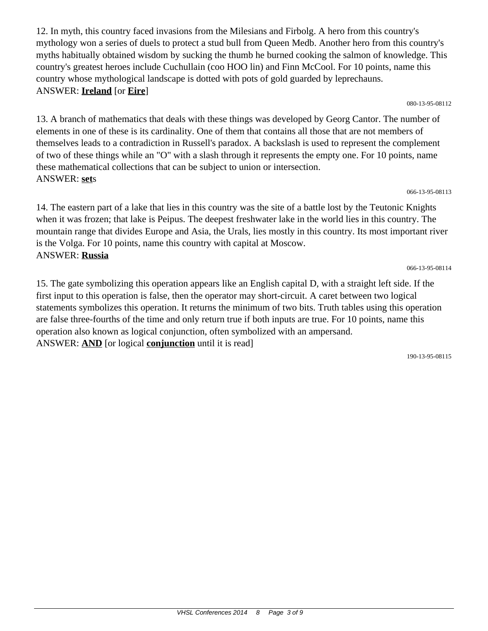12. In myth, this country faced invasions from the Milesians and Firbolg. A hero from this country's mythology won a series of duels to protect a stud bull from Queen Medb. Another hero from this country's myths habitually obtained wisdom by sucking the thumb he burned cooking the salmon of knowledge. This country's greatest heroes include Cuchullain (coo HOO lin) and Finn McCool. For 10 points, name this country whose mythological landscape is dotted with pots of gold guarded by leprechauns. ANSWER: **Ireland** [or **Eire**]

080-13-95-08112

13. A branch of mathematics that deals with these things was developed by Georg Cantor. The number of elements in one of these is its cardinality. One of them that contains all those that are not members of themselves leads to a contradiction in Russell's paradox. A backslash is used to represent the complement of two of these things while an "O" with a slash through it represents the empty one. For 10 points, name these mathematical collections that can be subject to union or intersection. ANSWER: **set**s

066-13-95-08113

14. The eastern part of a lake that lies in this country was the site of a battle lost by the Teutonic Knights when it was frozen; that lake is Peipus. The deepest freshwater lake in the world lies in this country. The mountain range that divides Europe and Asia, the Urals, lies mostly in this country. Its most important river is the Volga. For 10 points, name this country with capital at Moscow. ANSWER: **Russia**

066-13-95-08114

15. The gate symbolizing this operation appears like an English capital D, with a straight left side. If the first input to this operation is false, then the operator may short-circuit. A caret between two logical statements symbolizes this operation. It returns the minimum of two bits. Truth tables using this operation are false three-fourths of the time and only return true if both inputs are true. For 10 points, name this operation also known as logical conjunction, often symbolized with an ampersand. ANSWER: **AND** [or logical **conjunction** until it is read]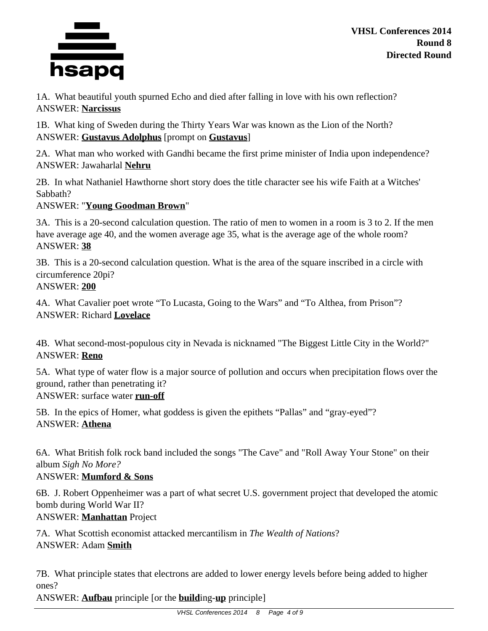

**VHSL Conferences 2014 Round 8 Directed Round**

1A. What beautiful youth spurned Echo and died after falling in love with his own reflection? ANSWER: **Narcissus**

1B. What king of Sweden during the Thirty Years War was known as the Lion of the North? ANSWER: **Gustavus Adolphus** [prompt on **Gustavus**]

2A. What man who worked with Gandhi became the first prime minister of India upon independence? ANSWER: Jawaharlal **Nehru**

2B. In what Nathaniel Hawthorne short story does the title character see his wife Faith at a Witches' Sabbath?

# ANSWER: "**Young Goodman Brown**"

3A. This is a 20-second calculation question. The ratio of men to women in a room is 3 to 2. If the men have average age 40, and the women average age 35, what is the average age of the whole room? ANSWER: **38**

3B. This is a 20-second calculation question. What is the area of the square inscribed in a circle with circumference 20pi?

#### ANSWER: **200**

4A. What Cavalier poet wrote "To Lucasta, Going to the Wars" and "To Althea, from Prison"? ANSWER: Richard **Lovelace**

4B. What second-most-populous city in Nevada is nicknamed "The Biggest Little City in the World?" ANSWER: **Reno**

5A. What type of water flow is a major source of pollution and occurs when precipitation flows over the ground, rather than penetrating it? ANSWER: surface water **run-off**

5B. In the epics of Homer, what goddess is given the epithets "Pallas" and "gray-eyed"? ANSWER: **Athena**

6A. What British folk rock band included the songs "The Cave" and "Roll Away Your Stone" on their album *Sigh No More?*

# ANSWER: **Mumford & Sons**

6B. J. Robert Oppenheimer was a part of what secret U.S. government project that developed the atomic bomb during World War II? ANSWER: **Manhattan** Project

7A. What Scottish economist attacked mercantilism in *The Wealth of Nations*? ANSWER: Adam **Smith**

7B. What principle states that electrons are added to lower energy levels before being added to higher ones?

ANSWER: **Aufbau** principle [or the **build**ing-**up** principle]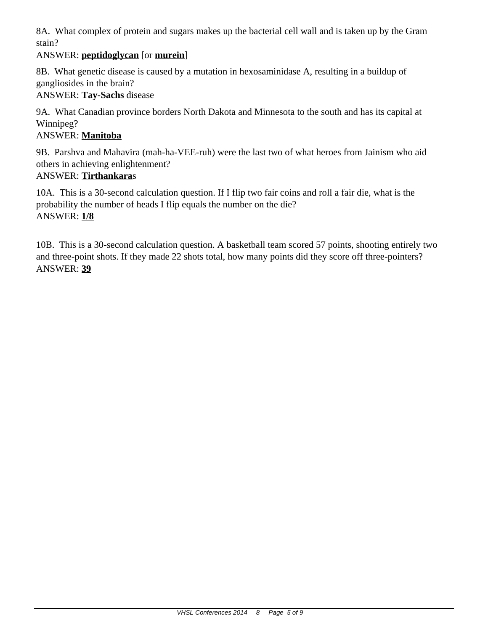8A. What complex of protein and sugars makes up the bacterial cell wall and is taken up by the Gram stain?

# ANSWER: **peptidoglycan** [or **murein**]

8B. What genetic disease is caused by a mutation in hexosaminidase A, resulting in a buildup of gangliosides in the brain?

#### ANSWER: **Tay-Sachs** disease

9A. What Canadian province borders North Dakota and Minnesota to the south and has its capital at Winnipeg?

# ANSWER: **Manitoba**

9B. Parshva and Mahavira (mah-ha-VEE-ruh) were the last two of what heroes from Jainism who aid others in achieving enlightenment?

# ANSWER: **Tirthankara**s

10A. This is a 30-second calculation question. If I flip two fair coins and roll a fair die, what is the probability the number of heads I flip equals the number on the die? ANSWER: **1/8**

10B. This is a 30-second calculation question. A basketball team scored 57 points, shooting entirely two and three-point shots. If they made 22 shots total, how many points did they score off three-pointers? ANSWER: **39**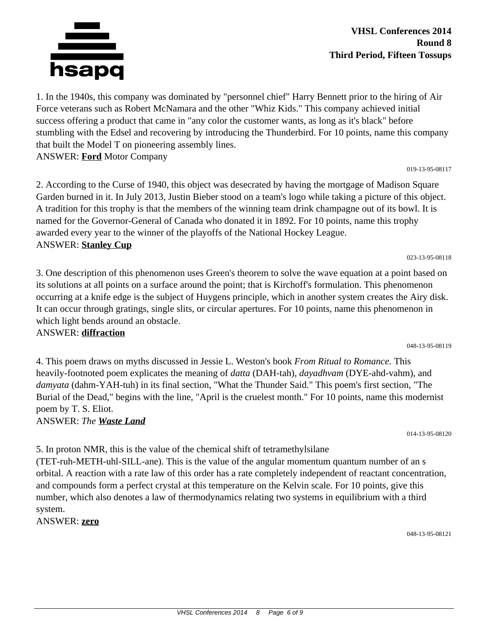

#### **VHSL Conferences 2014 Round 8 Third Period, Fifteen Tossups**

1. In the 1940s, this company was dominated by "personnel chief" Harry Bennett prior to the hiring of Air Force veterans such as Robert McNamara and the other "Whiz Kids." This company achieved initial success offering a product that came in "any color the customer wants, as long as it's black" before stumbling with the Edsel and recovering by introducing the Thunderbird. For 10 points, name this company that built the Model T on pioneering assembly lines. ANSWER: **Ford** Motor Company

019-13-95-08117

023-13-95-08118

048-13-95-08119

2. According to the Curse of 1940, this object was desecrated by having the mortgage of Madison Square Garden burned in it. In July 2013, Justin Bieber stood on a team's logo while taking a picture of this object. A tradition for this trophy is that the members of the winning team drink champagne out of its bowl. It is named for the Governor-General of Canada who donated it in 1892. For 10 points, name this trophy awarded every year to the winner of the playoffs of the National Hockey League. ANSWER: **Stanley Cup**

3. One description of this phenomenon uses Green's theorem to solve the wave equation at a point based on its solutions at all points on a surface around the point; that is Kirchoff's formulation. This phenomenon occurring at a knife edge is the subject of Huygens principle, which in another system creates the Airy disk. It can occur through gratings, single slits, or circular apertures. For 10 points, name this phenomenon in which light bends around an obstacle.

#### ANSWER: **diffraction**

4. This poem draws on myths discussed in Jessie L. Weston's book *From Ritual to Romance.* This heavily-footnoted poem explicates the meaning of *datta* (DAH-tah), *dayadhvam* (DYE-ahd-vahm), and *damyata* (dahm-YAH-tuh) in its final section, "What the Thunder Said." This poem's first section, "The Burial of the Dead," begins with the line, "April is the cruelest month." For 10 points, name this modernist poem by T. S. Eliot. ANSWER: *The Waste Land*

014-13-95-08120

5. In proton NMR, this is the value of the chemical shift of tetramethylsilane (TET-ruh-METH-uhl-SILL-ane). This is the value of the angular momentum quantum number of an s orbital. A reaction with a rate law of this order has a rate completely independent of reactant concentration, and compounds form a perfect crystal at this temperature on the Kelvin scale. For 10 points, give this number, which also denotes a law of thermodynamics relating two systems in equilibrium with a third

system. ANSWER: **zero**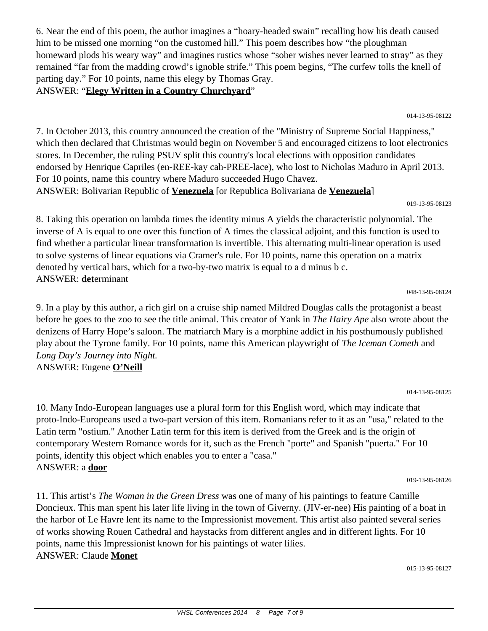6. Near the end of this poem, the author imagines a "hoary-headed swain" recalling how his death caused him to be missed one morning "on the customed hill." This poem describes how "the ploughman homeward plods his weary way" and imagines rustics whose "sober wishes never learned to stray" as they remained "far from the madding crowd's ignoble strife." This poem begins, "The curfew tolls the knell of parting day." For 10 points, name this elegy by Thomas Gray.

# ANSWER: "**Elegy Written in a Country Churchyard**"

014-13-95-08122

7. In October 2013, this country announced the creation of the "Ministry of Supreme Social Happiness," which then declared that Christmas would begin on November 5 and encouraged citizens to loot electronics stores. In December, the ruling PSUV split this country's local elections with opposition candidates endorsed by Henrique Capriles (en-REE-kay cah-PREE-lace), who lost to Nicholas Maduro in April 2013. For 10 points, name this country where Maduro succeeded Hugo Chavez. ANSWER: Bolivarian Republic of **Venezuela** [or Republica Bolivariana de **Venezuela**]

019-13-95-08123

8. Taking this operation on lambda times the identity minus A yields the characteristic polynomial. The inverse of A is equal to one over this function of A times the classical adjoint, and this function is used to find whether a particular linear transformation is invertible. This alternating multi-linear operation is used to solve systems of linear equations via Cramer's rule. For 10 points, name this operation on a matrix denoted by vertical bars, which for a two-by-two matrix is equal to a d minus b c. ANSWER: **det**erminant

048-13-95-08124

9. In a play by this author, a rich girl on a cruise ship named Mildred Douglas calls the protagonist a beast before he goes to the zoo to see the title animal. This creator of Yank in *The Hairy Ape* also wrote about the denizens of Harry Hope's saloon. The matriarch Mary is a morphine addict in his posthumously published play about the Tyrone family. For 10 points, name this American playwright of *The Iceman Cometh* and *Long Day's Journey into Night.* ANSWER: Eugene **O'Neill**

#### 014-13-95-08125

10. Many Indo-European languages use a plural form for this English word, which may indicate that proto-Indo-Europeans used a two-part version of this item. Romanians refer to it as an "usa," related to the Latin term "ostium." Another Latin term for this item is derived from the Greek and is the origin of contemporary Western Romance words for it, such as the French "porte" and Spanish "puerta." For 10 points, identify this object which enables you to enter a "casa." ANSWER: a **door**

019-13-95-08126

11. This artist's *The Woman in the Green Dress* was one of many of his paintings to feature Camille Doncieux. This man spent his later life living in the town of Giverny. (JIV-er-nee) His painting of a boat in the harbor of Le Havre lent its name to the Impressionist movement. This artist also painted several series of works showing Rouen Cathedral and haystacks from different angles and in different lights. For 10 points, name this Impressionist known for his paintings of water lilies. ANSWER: Claude **Monet**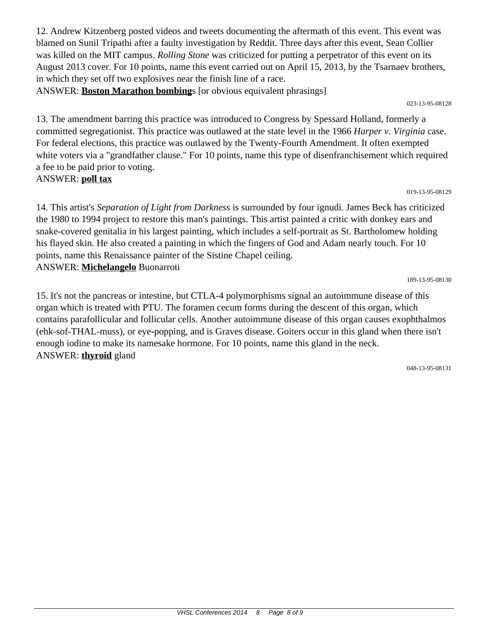12. Andrew Kitzenberg posted videos and tweets documenting the aftermath of this event. This event was blamed on Sunil Tripathi after a faulty investigation by Reddit. Three days after this event, Sean Collier was killed on the MIT campus. *Rolling Stone* was criticized for putting a perpetrator of this event on its August 2013 cover. For 10 points, name this event carried out on April 15, 2013, by the Tsarnaev brothers, in which they set off two explosives near the finish line of a race.

ANSWER: **Boston Marathon bombing**s [or obvious equivalent phrasings]

023-13-95-08128

13. The amendment barring this practice was introduced to Congress by Spessard Holland, formerly a committed segregationist. This practice was outlawed at the state level in the 1966 *Harper v. Virginia* case. For federal elections, this practice was outlawed by the Twenty-Fourth Amendment. It often exempted white voters via a "grandfather clause." For 10 points, name this type of disenfranchisement which required a fee to be paid prior to voting. ANSWER: **poll tax**

019-13-95-08129

14. This artist's *Separation of Light from Darkness* is surrounded by four ignudi. James Beck has criticized the 1980 to 1994 project to restore this man's paintings. This artist painted a critic with donkey ears and snake-covered genitalia in his largest painting, which includes a self-portrait as St. Bartholomew holding his flayed skin. He also created a painting in which the fingers of God and Adam nearly touch. For 10 points, name this Renaissance painter of the Sistine Chapel ceiling. ANSWER: **Michelangelo** Buonarroti

189-13-95-08130

15. It's not the pancreas or intestine, but CTLA-4 polymorphisms signal an autoimmune disease of this organ which is treated with PTU. The foramen cecum forms during the descent of this organ, which contains parafollicular and follicular cells. Another autoimmune disease of this organ causes exophthalmos (ehk-sof-THAL-muss), or eye-popping, and is Graves disease. Goiters occur in this gland when there isn't enough iodine to make its namesake hormone. For 10 points, name this gland in the neck. ANSWER: **thyroid** gland